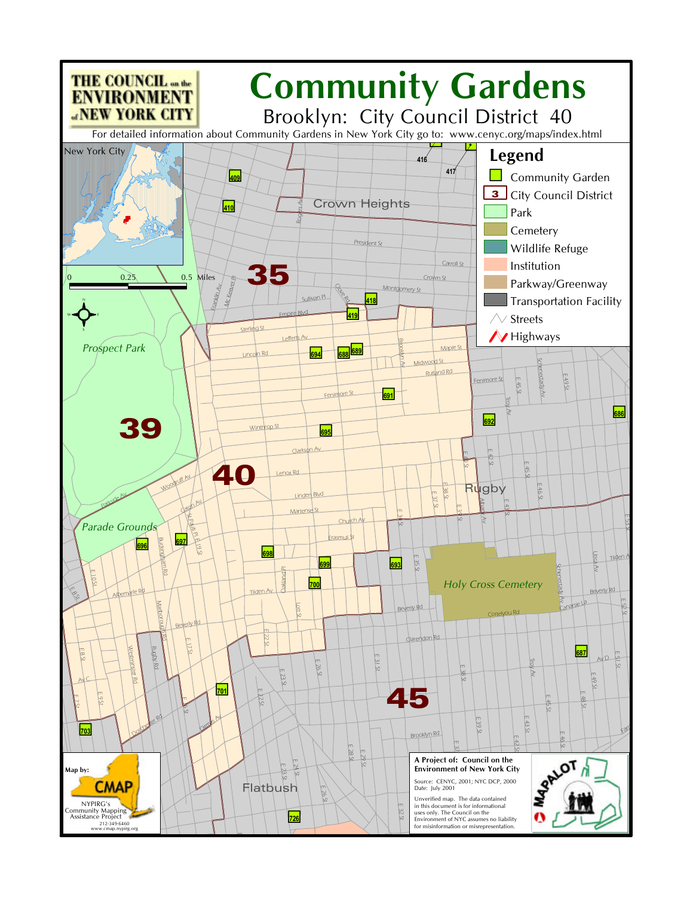